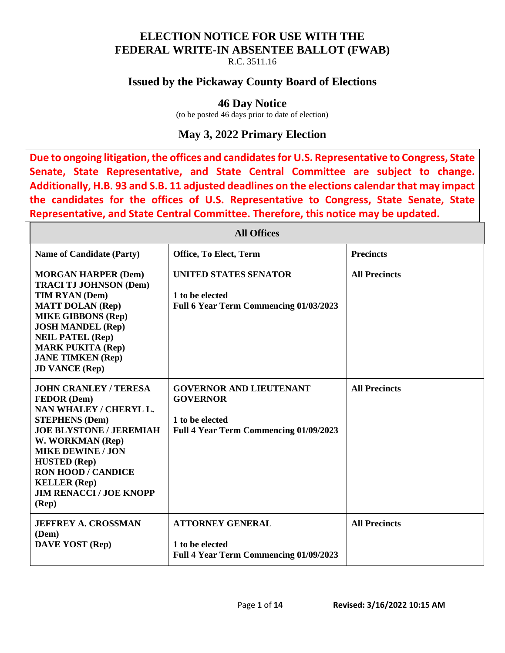#### **ELECTION NOTICE FOR USE WITH THE FEDERAL WRITE-IN ABSENTEE BALLOT (FWAB)**

R.C. 3511.16

### **Issued by the Pickaway County Board of Elections**

#### **46 Day Notice**

(to be posted 46 days prior to date of election)

## **May 3, 2022 Primary Election**

**Due to ongoing litigation, the offices and candidates for U.S. Representative to Congress, State Senate, State Representative, and State Central Committee are subject to change. Additionally, H.B. 93 and S.B. 11 adjusted deadlines on the elections calendar that may impact the candidates for the offices of U.S. Representative to Congress, State Senate, State Representative, and State Central Committee. Therefore, this notice may be updated.** 

| <b>All Offices</b>                                                                                                                                                                                                                                                                                                       |                                                                                                                       |                      |
|--------------------------------------------------------------------------------------------------------------------------------------------------------------------------------------------------------------------------------------------------------------------------------------------------------------------------|-----------------------------------------------------------------------------------------------------------------------|----------------------|
| <b>Name of Candidate (Party)</b>                                                                                                                                                                                                                                                                                         | Office, To Elect, Term                                                                                                | <b>Precincts</b>     |
| <b>MORGAN HARPER (Dem)</b><br><b>TRACI TJ JOHNSON (Dem)</b><br>TIM RYAN (Dem)<br><b>MATT DOLAN (Rep)</b><br><b>MIKE GIBBONS (Rep)</b><br><b>JOSH MANDEL (Rep)</b><br><b>NEIL PATEL (Rep)</b><br><b>MARK PUKITA (Rep)</b><br><b>JANE TIMKEN (Rep)</b><br><b>JD VANCE (Rep)</b>                                            | <b>UNITED STATES SENATOR</b><br>1 to be elected<br>Full 6 Year Term Commencing 01/03/2023                             | <b>All Precincts</b> |
| <b>JOHN CRANLEY / TERESA</b><br><b>FEDOR</b> (Dem)<br>NAN WHALEY / CHERYL L.<br><b>STEPHENS (Dem)</b><br><b>JOE BLYSTONE / JEREMIAH</b><br>W. WORKMAN (Rep)<br><b>MIKE DEWINE / JON</b><br><b>HUSTED</b> (Rep)<br><b>RON HOOD / CANDICE</b><br><b>KELLER</b> (Rep)<br><b>JIM RENACCI / JOE KNOPP</b><br>$(\mathbf{Rep})$ | <b>GOVERNOR AND LIEUTENANT</b><br><b>GOVERNOR</b><br>1 to be elected<br><b>Full 4 Year Term Commencing 01/09/2023</b> | <b>All Precincts</b> |
| <b>JEFFREY A. CROSSMAN</b><br>(Dem)<br><b>DAVE YOST</b> (Rep)                                                                                                                                                                                                                                                            | <b>ATTORNEY GENERAL</b><br>1 to be elected<br><b>Full 4 Year Term Commencing 01/09/2023</b>                           | <b>All Precincts</b> |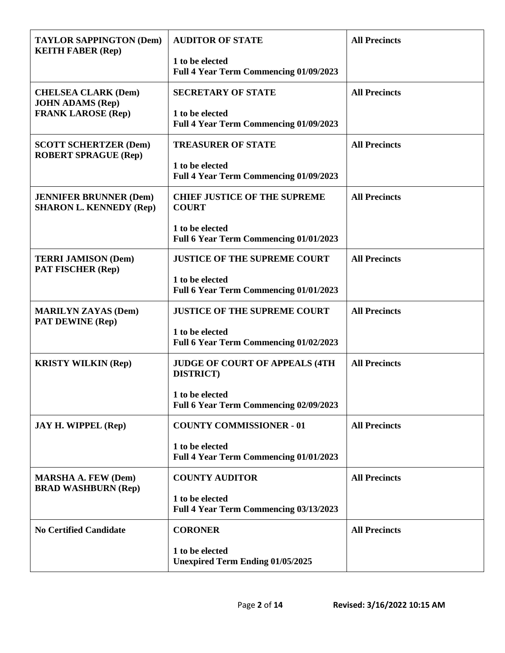| <b>TAYLOR SAPPINGTON (Dem)</b><br><b>KEITH FABER (Rep)</b>      | <b>AUDITOR OF STATE</b>                                     | <b>All Precincts</b> |
|-----------------------------------------------------------------|-------------------------------------------------------------|----------------------|
|                                                                 | 1 to be elected<br>Full 4 Year Term Commencing 01/09/2023   |                      |
| <b>CHELSEA CLARK (Dem)</b><br><b>JOHN ADAMS (Rep)</b>           | <b>SECRETARY OF STATE</b>                                   | <b>All Precincts</b> |
| <b>FRANK LAROSE (Rep)</b>                                       | 1 to be elected<br>Full 4 Year Term Commencing 01/09/2023   |                      |
| <b>SCOTT SCHERTZER (Dem)</b><br><b>ROBERT SPRAGUE (Rep)</b>     | <b>TREASURER OF STATE</b>                                   | <b>All Precincts</b> |
|                                                                 | 1 to be elected<br>Full 4 Year Term Commencing 01/09/2023   |                      |
| <b>JENNIFER BRUNNER (Dem)</b><br><b>SHARON L. KENNEDY (Rep)</b> | <b>CHIEF JUSTICE OF THE SUPREME</b><br><b>COURT</b>         | <b>All Precincts</b> |
|                                                                 | 1 to be elected<br>Full 6 Year Term Commencing 01/01/2023   |                      |
| <b>TERRI JAMISON (Dem)</b><br><b>PAT FISCHER (Rep)</b>          | <b>JUSTICE OF THE SUPREME COURT</b>                         | <b>All Precincts</b> |
|                                                                 | 1 to be elected<br>Full 6 Year Term Commencing 01/01/2023   |                      |
| <b>MARILYN ZAYAS (Dem)</b><br><b>PAT DEWINE (Rep)</b>           | <b>JUSTICE OF THE SUPREME COURT</b>                         | <b>All Precincts</b> |
|                                                                 | 1 to be elected<br>Full 6 Year Term Commencing 01/02/2023   |                      |
| <b>KRISTY WILKIN (Rep)</b>                                      | <b>JUDGE OF COURT OF APPEALS (4TH)</b><br><b>DISTRICT</b> ) | <b>All Precincts</b> |
|                                                                 | 1 to be elected<br>Full 6 Year Term Commencing 02/09/2023   |                      |
| <b>JAY H. WIPPEL (Rep)</b>                                      | <b>COUNTY COMMISSIONER - 01</b>                             | <b>All Precincts</b> |
|                                                                 | 1 to be elected<br>Full 4 Year Term Commencing 01/01/2023   |                      |
| <b>MARSHA A. FEW (Dem)</b><br><b>BRAD WASHBURN (Rep)</b>        | <b>COUNTY AUDITOR</b>                                       | <b>All Precincts</b> |
|                                                                 | 1 to be elected<br>Full 4 Year Term Commencing 03/13/2023   |                      |
| <b>No Certified Candidate</b>                                   | <b>CORONER</b>                                              | <b>All Precincts</b> |
|                                                                 | 1 to be elected<br><b>Unexpired Term Ending 01/05/2025</b>  |                      |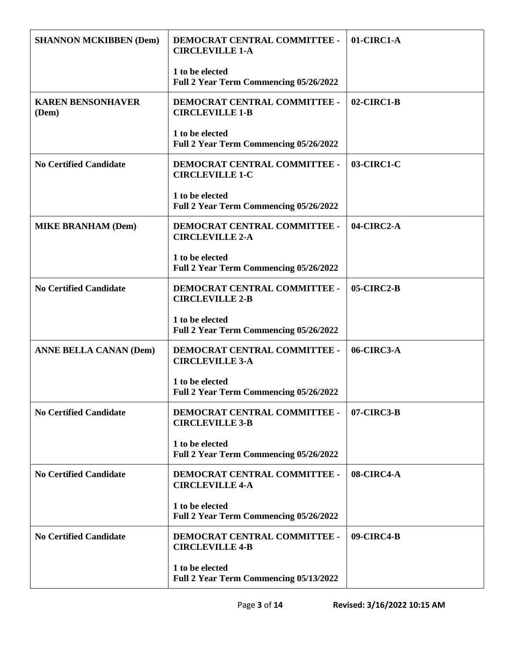| <b>SHANNON MCKIBBEN (Dem)</b>     | DEMOCRAT CENTRAL COMMITTEE -<br><b>CIRCLEVILLE 1-A</b>           | 01-CIRC1-A    |
|-----------------------------------|------------------------------------------------------------------|---------------|
|                                   | 1 to be elected<br>Full 2 Year Term Commencing 05/26/2022        |               |
| <b>KAREN BENSONHAVER</b><br>(Dem) | DEMOCRAT CENTRAL COMMITTEE -<br><b>CIRCLEVILLE 1-B</b>           | $02$ -CIRC1-B |
|                                   | 1 to be elected<br>Full 2 Year Term Commencing 05/26/2022        |               |
| <b>No Certified Candidate</b>     | DEMOCRAT CENTRAL COMMITTEE -<br><b>CIRCLEVILLE 1-C</b>           | 03-CIRC1-C    |
|                                   | 1 to be elected<br>Full 2 Year Term Commencing 05/26/2022        |               |
| <b>MIKE BRANHAM (Dem)</b>         | DEMOCRAT CENTRAL COMMITTEE -<br><b>CIRCLEVILLE 2-A</b>           | 04-CIRC2-A    |
|                                   | 1 to be elected<br><b>Full 2 Year Term Commencing 05/26/2022</b> |               |
| <b>No Certified Candidate</b>     | DEMOCRAT CENTRAL COMMITTEE -<br><b>CIRCLEVILLE 2-B</b>           | 05-CIRC2-B    |
|                                   | 1 to be elected<br>Full 2 Year Term Commencing 05/26/2022        |               |
| <b>ANNE BELLA CANAN (Dem)</b>     | DEMOCRAT CENTRAL COMMITTEE -<br><b>CIRCLEVILLE 3-A</b>           | 06-CIRC3-A    |
|                                   | 1 to be elected<br><b>Full 2 Year Term Commencing 05/26/2022</b> |               |
| <b>No Certified Candidate</b>     | DEMOCRAT CENTRAL COMMITTEE -<br><b>CIRCLEVILLE 3-B</b>           | 07-CIRC3-B    |
|                                   | 1 to be elected<br>Full 2 Year Term Commencing 05/26/2022        |               |
| <b>No Certified Candidate</b>     | DEMOCRAT CENTRAL COMMITTEE -<br><b>CIRCLEVILLE 4-A</b>           | 08-CIRC4-A    |
|                                   | 1 to be elected<br>Full 2 Year Term Commencing 05/26/2022        |               |
| <b>No Certified Candidate</b>     | DEMOCRAT CENTRAL COMMITTEE -<br><b>CIRCLEVILLE 4-B</b>           | 09-CIRC4-B    |
|                                   | 1 to be elected<br><b>Full 2 Year Term Commencing 05/13/2022</b> |               |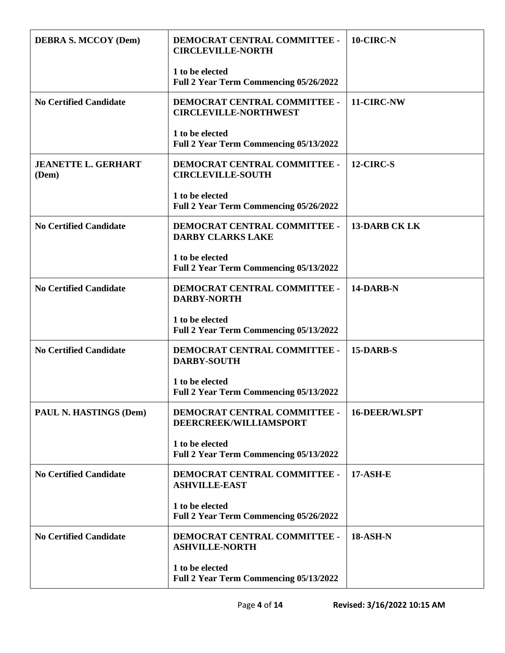| <b>DEBRA S. MCCOY (Dem)</b>         | DEMOCRAT CENTRAL COMMITTEE -<br><b>CIRCLEVILLE-NORTH</b>         | 10-CIRC-N            |
|-------------------------------------|------------------------------------------------------------------|----------------------|
|                                     | 1 to be elected<br>Full 2 Year Term Commencing 05/26/2022        |                      |
| <b>No Certified Candidate</b>       | DEMOCRAT CENTRAL COMMITTEE -<br><b>CIRCLEVILLE-NORTHWEST</b>     | 11-CIRC-NW           |
|                                     | 1 to be elected<br>Full 2 Year Term Commencing 05/13/2022        |                      |
| <b>JEANETTE L. GERHART</b><br>(Dem) | DEMOCRAT CENTRAL COMMITTEE -<br><b>CIRCLEVILLE-SOUTH</b>         | 12-CIRC-S            |
|                                     | 1 to be elected<br>Full 2 Year Term Commencing 05/26/2022        |                      |
| <b>No Certified Candidate</b>       | DEMOCRAT CENTRAL COMMITTEE -<br><b>DARBY CLARKS LAKE</b>         | <b>13-DARB CK LK</b> |
|                                     | 1 to be elected<br>Full 2 Year Term Commencing 05/13/2022        |                      |
| <b>No Certified Candidate</b>       | DEMOCRAT CENTRAL COMMITTEE -<br><b>DARBY-NORTH</b>               | 14-DARB-N            |
|                                     | 1 to be elected<br>Full 2 Year Term Commencing 05/13/2022        |                      |
| <b>No Certified Candidate</b>       | DEMOCRAT CENTRAL COMMITTEE -<br><b>DARBY-SOUTH</b>               | 15-DARB-S            |
|                                     | 1 to be elected<br><b>Full 2 Year Term Commencing 05/13/2022</b> |                      |
| PAUL N. HASTINGS (Dem)              | DEMOCRAT CENTRAL COMMITTEE -<br>DEERCREEK/WILLIAMSPORT           | <b>16-DEER/WLSPT</b> |
|                                     | 1 to be elected<br><b>Full 2 Year Term Commencing 05/13/2022</b> |                      |
| <b>No Certified Candidate</b>       | DEMOCRAT CENTRAL COMMITTEE -<br><b>ASHVILLE-EAST</b>             | <b>17-ASH-E</b>      |
|                                     | 1 to be elected<br>Full 2 Year Term Commencing 05/26/2022        |                      |
| <b>No Certified Candidate</b>       | DEMOCRAT CENTRAL COMMITTEE -<br><b>ASHVILLE-NORTH</b>            | <b>18-ASH-N</b>      |
|                                     | 1 to be elected<br><b>Full 2 Year Term Commencing 05/13/2022</b> |                      |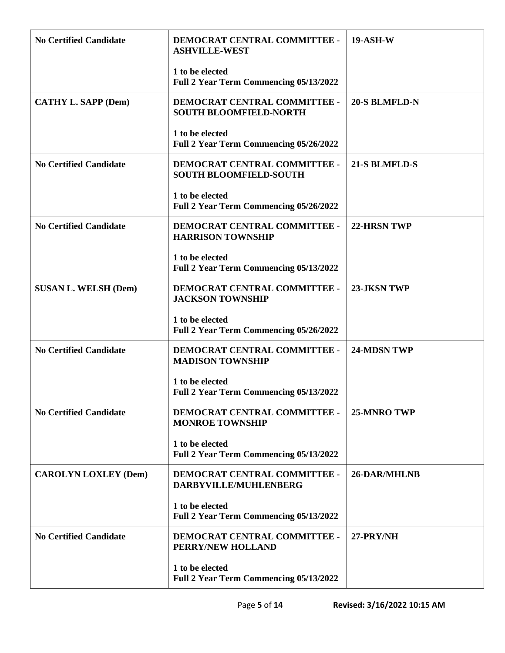| <b>No Certified Candidate</b> | DEMOCRAT CENTRAL COMMITTEE -<br><b>ASHVILLE-WEST</b>             | <b>19-ASH-W</b>      |
|-------------------------------|------------------------------------------------------------------|----------------------|
|                               | 1 to be elected<br>Full 2 Year Term Commencing 05/13/2022        |                      |
| <b>CATHY L. SAPP (Dem)</b>    | DEMOCRAT CENTRAL COMMITTEE -<br><b>SOUTH BLOOMFIELD-NORTH</b>    | <b>20-S BLMFLD-N</b> |
|                               | 1 to be elected<br>Full 2 Year Term Commencing 05/26/2022        |                      |
| <b>No Certified Candidate</b> | DEMOCRAT CENTRAL COMMITTEE -<br><b>SOUTH BLOOMFIELD-SOUTH</b>    | <b>21-S BLMFLD-S</b> |
|                               | 1 to be elected<br>Full 2 Year Term Commencing 05/26/2022        |                      |
| <b>No Certified Candidate</b> | DEMOCRAT CENTRAL COMMITTEE -<br><b>HARRISON TOWNSHIP</b>         | <b>22-HRSN TWP</b>   |
|                               | 1 to be elected<br>Full 2 Year Term Commencing 05/13/2022        |                      |
| <b>SUSAN L. WELSH (Dem)</b>   | DEMOCRAT CENTRAL COMMITTEE -<br><b>JACKSON TOWNSHIP</b>          | 23-JKSN TWP          |
|                               | 1 to be elected<br>Full 2 Year Term Commencing 05/26/2022        |                      |
| <b>No Certified Candidate</b> | DEMOCRAT CENTRAL COMMITTEE -<br><b>MADISON TOWNSHIP</b>          | <b>24-MDSN TWP</b>   |
|                               | 1 to be elected<br><b>Full 2 Year Term Commencing 05/13/2022</b> |                      |
| <b>No Certified Candidate</b> | DEMOCRAT CENTRAL COMMITTEE -<br><b>MONROE TOWNSHIP</b>           | <b>25-MNRO TWP</b>   |
|                               | 1 to be elected<br>Full 2 Year Term Commencing 05/13/2022        |                      |
| <b>CAROLYN LOXLEY (Dem)</b>   | DEMOCRAT CENTRAL COMMITTEE -<br>DARBYVILLE/MUHLENBERG            | <b>26-DAR/MHLNB</b>  |
|                               | 1 to be elected<br>Full 2 Year Term Commencing 05/13/2022        |                      |
| <b>No Certified Candidate</b> | DEMOCRAT CENTRAL COMMITTEE -<br>PERRY/NEW HOLLAND                | 27-PRY/NH            |
|                               | 1 to be elected<br>Full 2 Year Term Commencing 05/13/2022        |                      |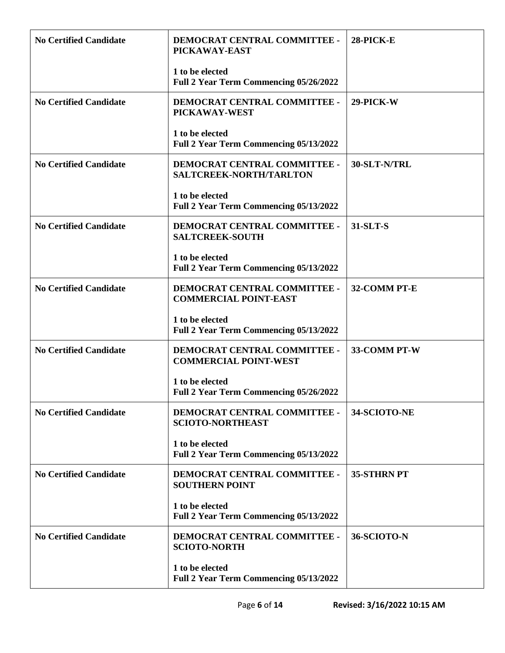| <b>No Certified Candidate</b> | DEMOCRAT CENTRAL COMMITTEE -<br>PICKAWAY-EAST                    | 28-PICK-E    |
|-------------------------------|------------------------------------------------------------------|--------------|
|                               | 1 to be elected<br>Full 2 Year Term Commencing 05/26/2022        |              |
| <b>No Certified Candidate</b> | DEMOCRAT CENTRAL COMMITTEE -<br>PICKAWAY-WEST                    | 29-PICK-W    |
|                               | 1 to be elected<br>Full 2 Year Term Commencing 05/13/2022        |              |
| <b>No Certified Candidate</b> | DEMOCRAT CENTRAL COMMITTEE -<br>SALTCREEK-NORTH/TARLTON          | 30-SLT-N/TRL |
|                               | 1 to be elected<br>Full 2 Year Term Commencing 05/13/2022        |              |
| <b>No Certified Candidate</b> | DEMOCRAT CENTRAL COMMITTEE -<br><b>SALTCREEK-SOUTH</b>           | 31-SLT-S     |
|                               | 1 to be elected<br>Full 2 Year Term Commencing 05/13/2022        |              |
| <b>No Certified Candidate</b> | DEMOCRAT CENTRAL COMMITTEE -<br><b>COMMERCIAL POINT-EAST</b>     | 32-COMM PT-E |
|                               | 1 to be elected<br>Full 2 Year Term Commencing 05/13/2022        |              |
| <b>No Certified Candidate</b> | DEMOCRAT CENTRAL COMMITTEE -<br><b>COMMERCIAL POINT-WEST</b>     | 33-COMM PT-W |
|                               | 1 to be elected<br><b>Full 2 Year Term Commencing 05/26/2022</b> |              |
| <b>No Certified Candidate</b> | DEMOCRAT CENTRAL COMMITTEE -<br><b>SCIOTO-NORTHEAST</b>          | 34-SCIOTO-NE |
|                               | 1 to be elected<br>Full 2 Year Term Commencing 05/13/2022        |              |
| <b>No Certified Candidate</b> | DEMOCRAT CENTRAL COMMITTEE -<br><b>SOUTHERN POINT</b>            | 35-STHRN PT  |
|                               | 1 to be elected<br>Full 2 Year Term Commencing 05/13/2022        |              |
| <b>No Certified Candidate</b> | DEMOCRAT CENTRAL COMMITTEE -<br><b>SCIOTO-NORTH</b>              | 36-SCIOTO-N  |
|                               | 1 to be elected<br>Full 2 Year Term Commencing 05/13/2022        |              |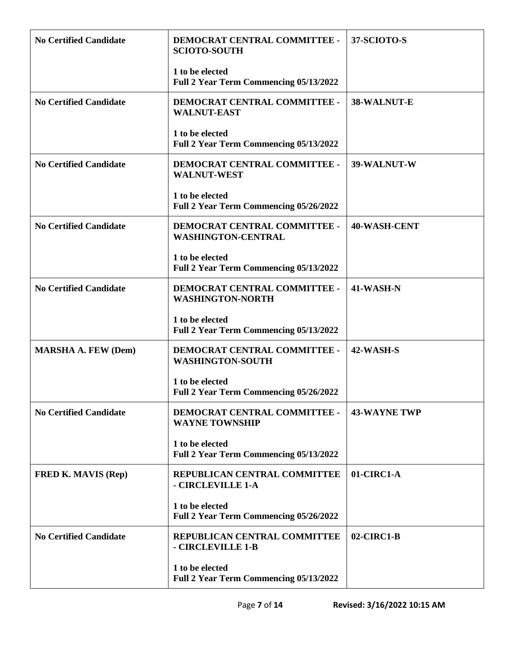| <b>No Certified Candidate</b> | DEMOCRAT CENTRAL COMMITTEE -<br><b>SCIOTO-SOUTH</b>              | 37-SCIOTO-S         |
|-------------------------------|------------------------------------------------------------------|---------------------|
|                               | 1 to be elected<br>Full 2 Year Term Commencing 05/13/2022        |                     |
| <b>No Certified Candidate</b> | DEMOCRAT CENTRAL COMMITTEE -<br><b>WALNUT-EAST</b>               | 38-WALNUT-E         |
|                               | 1 to be elected<br>Full 2 Year Term Commencing 05/13/2022        |                     |
| <b>No Certified Candidate</b> | DEMOCRAT CENTRAL COMMITTEE -<br><b>WALNUT-WEST</b>               | 39-WALNUT-W         |
|                               | 1 to be elected<br>Full 2 Year Term Commencing 05/26/2022        |                     |
| <b>No Certified Candidate</b> | DEMOCRAT CENTRAL COMMITTEE -<br><b>WASHINGTON-CENTRAL</b>        | <b>40-WASH-CENT</b> |
|                               | 1 to be elected<br>Full 2 Year Term Commencing 05/13/2022        |                     |
| <b>No Certified Candidate</b> | DEMOCRAT CENTRAL COMMITTEE -<br><b>WASHINGTON-NORTH</b>          | 41-WASH-N           |
|                               | 1 to be elected<br>Full 2 Year Term Commencing 05/13/2022        |                     |
| <b>MARSHA A. FEW (Dem)</b>    | DEMOCRAT CENTRAL COMMITTEE -<br><b>WASHINGTON-SOUTH</b>          | 42-WASH-S           |
|                               | 1 to be elected<br>Full 2 Year Term Commencing 05/26/2022        |                     |
| <b>No Certified Candidate</b> | DEMOCRAT CENTRAL COMMITTEE -<br><b>WAYNE TOWNSHIP</b>            | <b>43-WAYNE TWP</b> |
|                               | 1 to be elected<br>Full 2 Year Term Commencing 05/13/2022        |                     |
| <b>FRED K. MAVIS (Rep)</b>    | REPUBLICAN CENTRAL COMMITTEE<br>- CIRCLEVILLE 1-A                | 01-CIRC1-A          |
|                               | 1 to be elected<br>Full 2 Year Term Commencing 05/26/2022        |                     |
| <b>No Certified Candidate</b> | REPUBLICAN CENTRAL COMMITTEE<br>- CIRCLEVILLE 1-B                | $02$ -CIRC1-B       |
|                               | 1 to be elected<br><b>Full 2 Year Term Commencing 05/13/2022</b> |                     |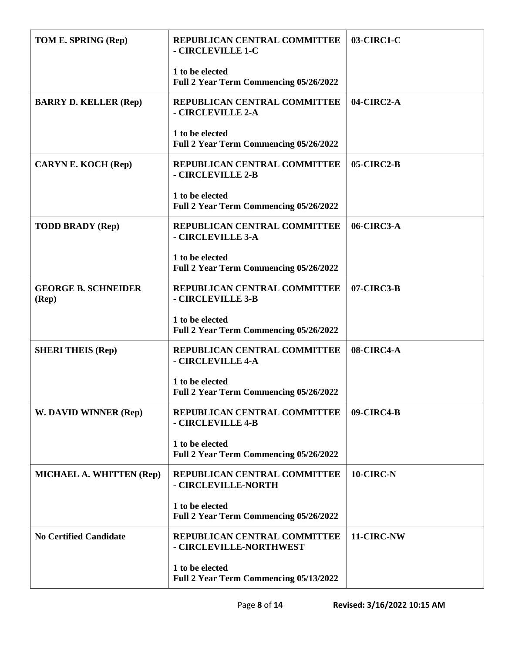| TOM E. SPRING (Rep)                            | REPUBLICAN CENTRAL COMMITTEE<br>- CIRCLEVILLE 1-C                | 03-CIRC1-C |
|------------------------------------------------|------------------------------------------------------------------|------------|
|                                                | 1 to be elected<br>Full 2 Year Term Commencing 05/26/2022        |            |
| <b>BARRY D. KELLER (Rep)</b>                   | REPUBLICAN CENTRAL COMMITTEE<br>- CIRCLEVILLE 2-A                | 04-CIRC2-A |
|                                                | 1 to be elected<br>Full 2 Year Term Commencing 05/26/2022        |            |
| <b>CARYN E. KOCH (Rep)</b>                     | REPUBLICAN CENTRAL COMMITTEE<br>- CIRCLEVILLE 2-B                | 05-CIRC2-B |
|                                                | 1 to be elected<br>Full 2 Year Term Commencing 05/26/2022        |            |
| <b>TODD BRADY (Rep)</b>                        | REPUBLICAN CENTRAL COMMITTEE<br>- CIRCLEVILLE 3-A                | 06-CIRC3-A |
|                                                | 1 to be elected<br>Full 2 Year Term Commencing 05/26/2022        |            |
| <b>GEORGE B. SCHNEIDER</b><br>$(\mathbf{Rep})$ | REPUBLICAN CENTRAL COMMITTEE<br>- CIRCLEVILLE 3-B                | 07-CIRC3-B |
|                                                | 1 to be elected<br>Full 2 Year Term Commencing 05/26/2022        |            |
| <b>SHERI THEIS (Rep)</b>                       | REPUBLICAN CENTRAL COMMITTEE<br>- CIRCLEVILLE 4-A                | 08-CIRC4-A |
|                                                | 1 to be elected<br><b>Full 2 Year Term Commencing 05/26/2022</b> |            |
| W. DAVID WINNER (Rep)                          | REPUBLICAN CENTRAL COMMITTEE<br>- CIRCLEVILLE 4-B                | 09-CIRC4-B |
|                                                | 1 to be elected<br>Full 2 Year Term Commencing 05/26/2022        |            |
| MICHAEL A. WHITTEN (Rep)                       | REPUBLICAN CENTRAL COMMITTEE<br>- CIRCLEVILLE-NORTH              | 10-CIRC-N  |
|                                                | 1 to be elected<br>Full 2 Year Term Commencing 05/26/2022        |            |
| <b>No Certified Candidate</b>                  | REPUBLICAN CENTRAL COMMITTEE<br>- CIRCLEVILLE-NORTHWEST          | 11-CIRC-NW |
|                                                | 1 to be elected<br><b>Full 2 Year Term Commencing 05/13/2022</b> |            |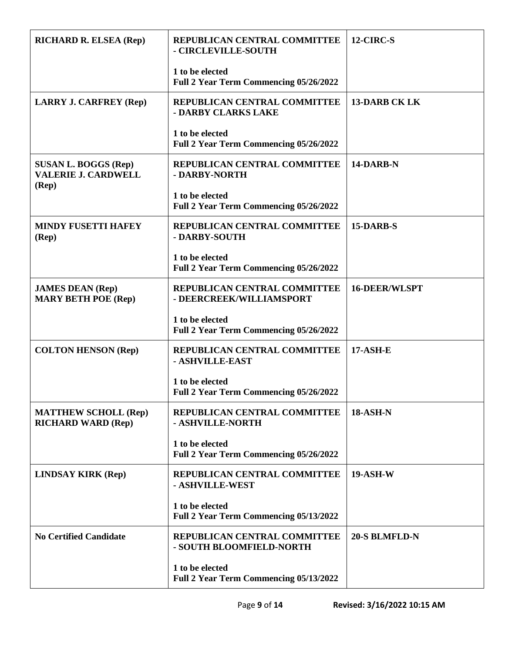| <b>RICHARD R. ELSEA (Rep)</b>                                                 | REPUBLICAN CENTRAL COMMITTEE<br>- CIRCLEVILLE-SOUTH              | 12-CIRC-S            |
|-------------------------------------------------------------------------------|------------------------------------------------------------------|----------------------|
|                                                                               | 1 to be elected<br>Full 2 Year Term Commencing 05/26/2022        |                      |
| <b>LARRY J. CARFREY (Rep)</b>                                                 | REPUBLICAN CENTRAL COMMITTEE<br>- DARBY CLARKS LAKE              | <b>13-DARB CK LK</b> |
|                                                                               | 1 to be elected<br>Full 2 Year Term Commencing 05/26/2022        |                      |
| <b>SUSAN L. BOGGS (Rep)</b><br><b>VALERIE J. CARDWELL</b><br>$(\mathbf{Rep})$ | REPUBLICAN CENTRAL COMMITTEE<br>- DARBY-NORTH                    | 14-DARB-N            |
|                                                                               | 1 to be elected<br>Full 2 Year Term Commencing 05/26/2022        |                      |
| <b>MINDY FUSETTI HAFEY</b><br>$(\mathbf{Rep})$                                | REPUBLICAN CENTRAL COMMITTEE<br>- DARBY-SOUTH                    | 15-DARB-S            |
|                                                                               | 1 to be elected<br>Full 2 Year Term Commencing 05/26/2022        |                      |
| <b>JAMES DEAN (Rep)</b><br><b>MARY BETH POE (Rep)</b>                         | REPUBLICAN CENTRAL COMMITTEE<br>- DEERCREEK/WILLIAMSPORT         | <b>16-DEER/WLSPT</b> |
|                                                                               | 1 to be elected<br>Full 2 Year Term Commencing 05/26/2022        |                      |
| <b>COLTON HENSON (Rep)</b>                                                    | REPUBLICAN CENTRAL COMMITTEE<br>- ASHVILLE-EAST                  | <b>17-ASH-E</b>      |
|                                                                               | 1 to be elected<br><b>Full 2 Year Term Commencing 05/26/2022</b> |                      |
| <b>MATTHEW SCHOLL (Rep)</b><br><b>RICHARD WARD (Rep)</b>                      | REPUBLICAN CENTRAL COMMITTEE<br>- ASHVILLE-NORTH                 | <b>18-ASH-N</b>      |
|                                                                               | 1 to be elected<br>Full 2 Year Term Commencing 05/26/2022        |                      |
| <b>LINDSAY KIRK (Rep)</b>                                                     | REPUBLICAN CENTRAL COMMITTEE<br>- ASHVILLE-WEST                  | <b>19-ASH-W</b>      |
|                                                                               | 1 to be elected<br>Full 2 Year Term Commencing 05/13/2022        |                      |
| <b>No Certified Candidate</b>                                                 | REPUBLICAN CENTRAL COMMITTEE<br>- SOUTH BLOOMFIELD-NORTH         | 20-S BLMFLD-N        |
|                                                                               | 1 to be elected<br>Full 2 Year Term Commencing 05/13/2022        |                      |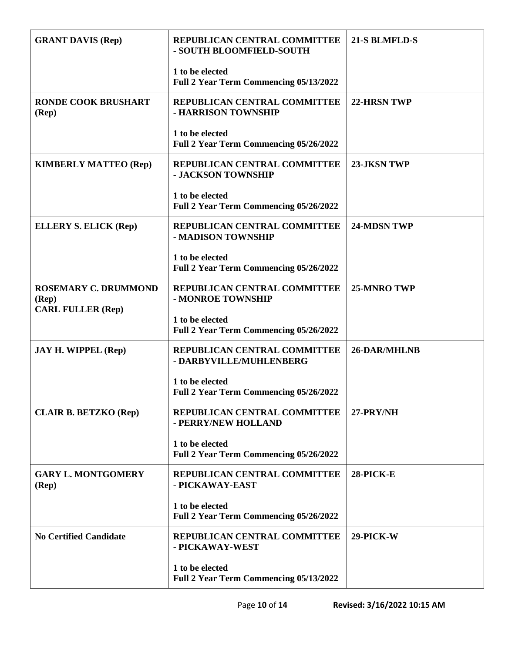| <b>GRANT DAVIS (Rep)</b>                                         | REPUBLICAN CENTRAL COMMITTEE<br>- SOUTH BLOOMFIELD-SOUTH         | 21-S BLMFLD-S      |
|------------------------------------------------------------------|------------------------------------------------------------------|--------------------|
|                                                                  | 1 to be elected<br>Full 2 Year Term Commencing 05/13/2022        |                    |
| <b>RONDE COOK BRUSHART</b><br>(Rep)                              | REPUBLICAN CENTRAL COMMITTEE<br>- HARRISON TOWNSHIP              | <b>22-HRSN TWP</b> |
|                                                                  | 1 to be elected<br>Full 2 Year Term Commencing 05/26/2022        |                    |
| <b>KIMBERLY MATTEO (Rep)</b>                                     | REPUBLICAN CENTRAL COMMITTEE<br>- JACKSON TOWNSHIP               | 23-JKSN TWP        |
|                                                                  | 1 to be elected<br>Full 2 Year Term Commencing 05/26/2022        |                    |
| <b>ELLERY S. ELICK (Rep)</b>                                     | REPUBLICAN CENTRAL COMMITTEE<br>- MADISON TOWNSHIP               | 24-MDSN TWP        |
|                                                                  | 1 to be elected<br>Full 2 Year Term Commencing 05/26/2022        |                    |
| <b>ROSEMARY C. DRUMMOND</b><br>(Rep)<br><b>CARL FULLER (Rep)</b> | REPUBLICAN CENTRAL COMMITTEE<br>- MONROE TOWNSHIP                | 25-MNRO TWP        |
|                                                                  | 1 to be elected<br>Full 2 Year Term Commencing 05/26/2022        |                    |
| <b>JAY H. WIPPEL (Rep)</b>                                       | REPUBLICAN CENTRAL COMMITTEE<br>- DARBYVILLE/MUHLENBERG          | 26-DAR/MHLNB       |
|                                                                  | 1 to be elected<br><b>Full 2 Year Term Commencing 05/26/2022</b> |                    |
| <b>CLAIR B. BETZKO (Rep)</b>                                     | REPUBLICAN CENTRAL COMMITTEE<br>- PERRY/NEW HOLLAND              | 27-PRY/NH          |
|                                                                  | 1 to be elected<br>Full 2 Year Term Commencing 05/26/2022        |                    |
| <b>GARY L. MONTGOMERY</b><br>(Rep)                               | REPUBLICAN CENTRAL COMMITTEE<br>- PICKAWAY-EAST                  | 28-PICK-E          |
|                                                                  | 1 to be elected<br>Full 2 Year Term Commencing 05/26/2022        |                    |
| <b>No Certified Candidate</b>                                    | REPUBLICAN CENTRAL COMMITTEE<br>- PICKAWAY-WEST                  | 29-PICK-W          |
|                                                                  | 1 to be elected<br><b>Full 2 Year Term Commencing 05/13/2022</b> |                    |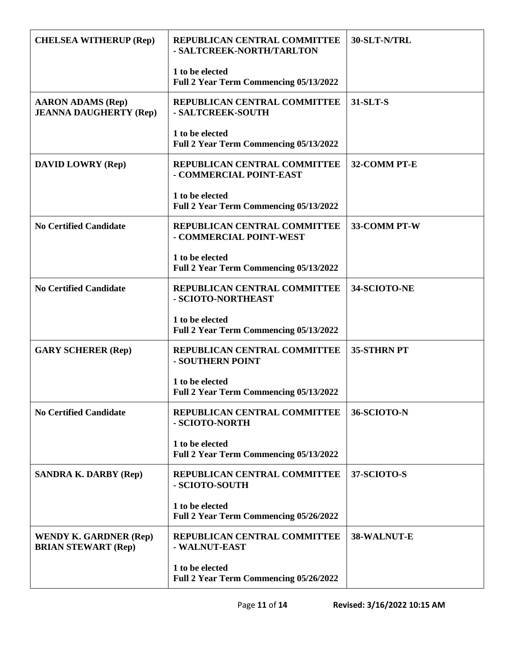| <b>CHELSEA WITHERUP (Rep)</b>                               | REPUBLICAN CENTRAL COMMITTEE<br>- SALTCREEK-NORTH/TARLTON | 30-SLT-N/TRL |
|-------------------------------------------------------------|-----------------------------------------------------------|--------------|
|                                                             | 1 to be elected<br>Full 2 Year Term Commencing 05/13/2022 |              |
| <b>AARON ADAMS (Rep)</b><br><b>JEANNA DAUGHERTY (Rep)</b>   | REPUBLICAN CENTRAL COMMITTEE<br>- SALTCREEK-SOUTH         | 31-SLT-S     |
|                                                             | 1 to be elected<br>Full 2 Year Term Commencing 05/13/2022 |              |
| <b>DAVID LOWRY (Rep)</b>                                    | REPUBLICAN CENTRAL COMMITTEE<br>- COMMERCIAL POINT-EAST   | 32-COMM PT-E |
|                                                             | 1 to be elected<br>Full 2 Year Term Commencing 05/13/2022 |              |
| <b>No Certified Candidate</b>                               | REPUBLICAN CENTRAL COMMITTEE<br>- COMMERCIAL POINT-WEST   | 33-COMM PT-W |
|                                                             | 1 to be elected<br>Full 2 Year Term Commencing 05/13/2022 |              |
| <b>No Certified Candidate</b>                               | REPUBLICAN CENTRAL COMMITTEE<br>- SCIOTO-NORTHEAST        | 34-SCIOTO-NE |
|                                                             | 1 to be elected<br>Full 2 Year Term Commencing 05/13/2022 |              |
| <b>GARY SCHERER (Rep)</b>                                   | REPUBLICAN CENTRAL COMMITTEE<br>- SOUTHERN POINT          | 35-STHRN PT  |
|                                                             | 1 to be elected<br>Full 2 Year Term Commencing 05/13/2022 |              |
| <b>No Certified Candidate</b>                               | REPUBLICAN CENTRAL COMMITTEE<br>- SCIOTO-NORTH            | 36-SCIOTO-N  |
|                                                             | 1 to be elected<br>Full 2 Year Term Commencing 05/13/2022 |              |
| <b>SANDRA K. DARBY (Rep)</b>                                | REPUBLICAN CENTRAL COMMITTEE<br>- SCIOTO-SOUTH            | 37-SCIOTO-S  |
|                                                             | 1 to be elected<br>Full 2 Year Term Commencing 05/26/2022 |              |
| <b>WENDY K. GARDNER (Rep)</b><br><b>BRIAN STEWART (Rep)</b> | REPUBLICAN CENTRAL COMMITTEE<br>- WALNUT-EAST             | 38-WALNUT-E  |
|                                                             | 1 to be elected<br>Full 2 Year Term Commencing 05/26/2022 |              |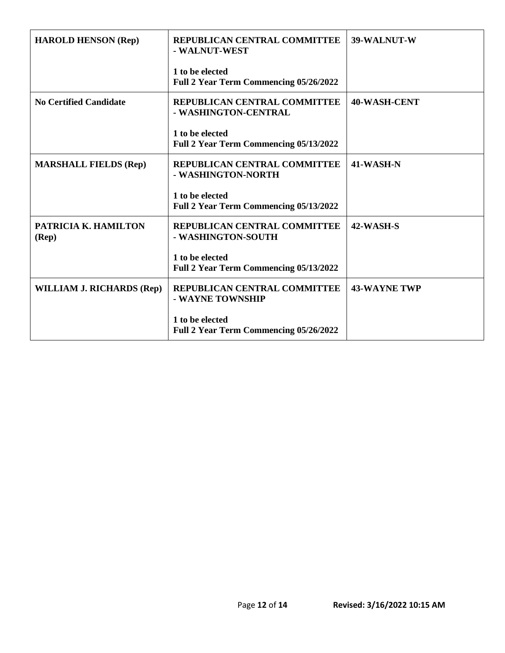| <b>HAROLD HENSON (Rep)</b>    | REPUBLICAN CENTRAL COMMITTEE<br>- WALNUT-WEST                    | 39-WALNUT-W         |
|-------------------------------|------------------------------------------------------------------|---------------------|
|                               | 1 to be elected<br>Full 2 Year Term Commencing 05/26/2022        |                     |
| <b>No Certified Candidate</b> | REPUBLICAN CENTRAL COMMITTEE<br>- WASHINGTON-CENTRAL             | 40-WASH-CENT        |
|                               | 1 to be elected<br>Full 2 Year Term Commencing 05/13/2022        |                     |
| <b>MARSHALL FIELDS (Rep)</b>  | REPUBLICAN CENTRAL COMMITTEE<br>- WASHINGTON-NORTH               | 41-WASH-N           |
|                               | 1 to be elected<br>Full 2 Year Term Commencing 05/13/2022        |                     |
| PATRICIA K. HAMILTON<br>(Rep) | REPUBLICAN CENTRAL COMMITTEE<br>- WASHINGTON-SOUTH               | 42-WASH-S           |
|                               | 1 to be elected<br>Full 2 Year Term Commencing 05/13/2022        |                     |
| WILLIAM J. RICHARDS (Rep)     | REPUBLICAN CENTRAL COMMITTEE<br>- WAYNE TOWNSHIP                 | <b>43-WAYNE TWP</b> |
|                               | 1 to be elected<br><b>Full 2 Year Term Commencing 05/26/2022</b> |                     |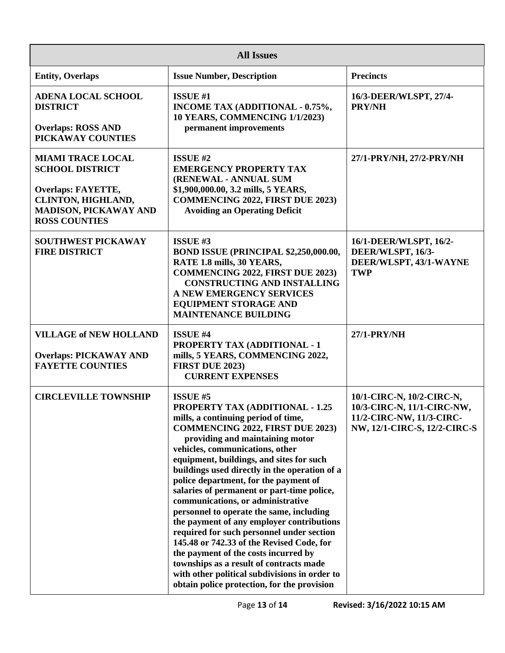| <b>All Issues</b>                                                                                                                                             |                                                                                                                                                                                                                                                                                                                                                                                                                                                                                                                                                                                                                                                                                                                                                                                                                  |                                                                                                                     |  |
|---------------------------------------------------------------------------------------------------------------------------------------------------------------|------------------------------------------------------------------------------------------------------------------------------------------------------------------------------------------------------------------------------------------------------------------------------------------------------------------------------------------------------------------------------------------------------------------------------------------------------------------------------------------------------------------------------------------------------------------------------------------------------------------------------------------------------------------------------------------------------------------------------------------------------------------------------------------------------------------|---------------------------------------------------------------------------------------------------------------------|--|
| <b>Entity, Overlaps</b>                                                                                                                                       | <b>Issue Number, Description</b>                                                                                                                                                                                                                                                                                                                                                                                                                                                                                                                                                                                                                                                                                                                                                                                 | <b>Precincts</b>                                                                                                    |  |
| <b>ADENA LOCAL SCHOOL</b><br><b>DISTRICT</b><br><b>Overlaps: ROSS AND</b><br>PICKAWAY COUNTIES                                                                | <b>ISSUE #1</b><br>INCOME TAX (ADDITIONAL - 0.75%,<br><b>10 YEARS, COMMENCING 1/1/2023)</b><br>permanent improvements                                                                                                                                                                                                                                                                                                                                                                                                                                                                                                                                                                                                                                                                                            | 16/3-DEER/WLSPT, 27/4-<br><b>PRY/NH</b>                                                                             |  |
| <b>MIAMI TRACE LOCAL</b><br><b>SCHOOL DISTRICT</b><br><b>Overlaps: FAYETTE,</b><br>CLINTON, HIGHLAND,<br><b>MADISON, PICKAWAY AND</b><br><b>ROSS COUNTIES</b> | ISSUE #2<br><b>EMERGENCY PROPERTY TAX</b><br>(RENEWAL - ANNUAL SUM<br>\$1,900,000.00, 3.2 mills, 5 YEARS,<br><b>COMMENCING 2022, FIRST DUE 2023)</b><br><b>Avoiding an Operating Deficit</b>                                                                                                                                                                                                                                                                                                                                                                                                                                                                                                                                                                                                                     | 27/1-PRY/NH, 27/2-PRY/NH                                                                                            |  |
| <b>SOUTHWEST PICKAWAY</b><br><b>FIRE DISTRICT</b>                                                                                                             | ISSUE #3<br>BOND ISSUE (PRINCIPAL \$2,250,000.00,<br>RATE 1.8 mills, 30 YEARS,<br><b>COMMENCING 2022, FIRST DUE 2023)</b><br><b>CONSTRUCTING AND INSTALLING</b><br>A NEW EMERGENCY SERVICES<br><b>EQUIPMENT STORAGE AND</b><br><b>MAINTENANCE BUILDING</b>                                                                                                                                                                                                                                                                                                                                                                                                                                                                                                                                                       | 16/1-DEER/WLSPT, 16/2-<br>DEER/WLSPT, 16/3-<br>DEER/WLSPT, 43/1-WAYNE<br><b>TWP</b>                                 |  |
| <b>VILLAGE of NEW HOLLAND</b><br><b>Overlaps: PICKAWAY AND</b><br><b>FAYETTE COUNTIES</b>                                                                     | <b>ISSUE #4</b><br><b>PROPERTY TAX (ADDITIONAL - 1</b><br>mills, 5 YEARS, COMMENCING 2022,<br><b>FIRST DUE 2023)</b><br><b>CURRENT EXPENSES</b>                                                                                                                                                                                                                                                                                                                                                                                                                                                                                                                                                                                                                                                                  | <b>27/1-PRY/NH</b>                                                                                                  |  |
| <b>CIRCLEVILLE TOWNSHIP</b>                                                                                                                                   | <b>ISSUE #5</b><br><b>PROPERTY TAX (ADDITIONAL - 1.25</b><br>mills, a continuing period of time,<br><b>COMMENCING 2022, FIRST DUE 2023)</b><br>providing and maintaining motor<br>vehicles, communications, other<br>equipment, buildings, and sites for such<br>buildings used directly in the operation of a<br>police department, for the payment of<br>salaries of permanent or part-time police,<br>communications, or administrative<br>personnel to operate the same, including<br>the payment of any employer contributions<br>required for such personnel under section<br>145.48 or 742.33 of the Revised Code, for<br>the payment of the costs incurred by<br>townships as a result of contracts made<br>with other political subdivisions in order to<br>obtain police protection, for the provision | 10/1-CIRC-N, 10/2-CIRC-N,<br>10/3-CIRC-N, 11/1-CIRC-NW,<br>11/2-CIRC-NW, 11/3-CIRC-<br>NW, 12/1-CIRC-S, 12/2-CIRC-S |  |